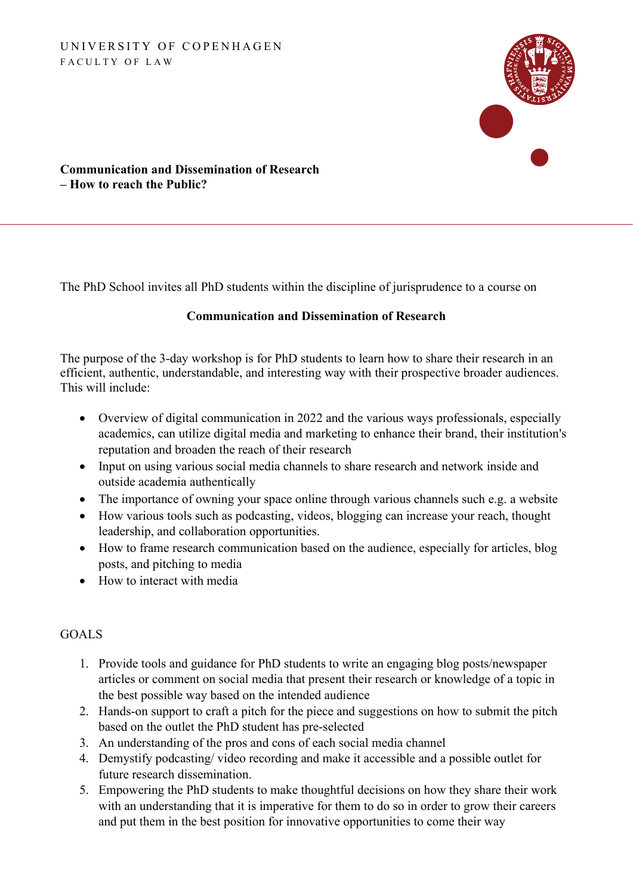#### UNIVERSITY OF COPENHAGEN FACULTY OF LAW



#### **Communication and Dissemination of Research – How to reach the Public?**

The PhD School invites all PhD students within the discipline of jurisprudence to a course on

#### **Communication and Dissemination of Research**

The purpose of the 3-day workshop is for PhD students to learn how to share their research in an efficient, authentic, understandable, and interesting way with their prospective broader audiences. This will include:

- Overview of digital communication in 2022 and the various ways professionals, especially academics, can utilize digital media and marketing to enhance their brand, their institution's reputation and broaden the reach of their research
- Input on using various social media channels to share research and network inside and outside academia authentically
- The importance of owning your space online through various channels such e.g. a website
- How various tools such as podcasting, videos, blogging can increase your reach, thought leadership, and collaboration opportunities.
- How to frame research communication based on the audience, especially for articles, blog posts, and pitching to media
- How to interact with media

#### GOALS

- 1. Provide tools and guidance for PhD students to write an engaging blog posts/newspaper articles or comment on social media that present their research or knowledge of a topic in the best possible way based on the intended audience
- 2. Hands-on support to craft a pitch for the piece and suggestions on how to submit the pitch based on the outlet the PhD student has pre-selected
- 3. An understanding of the pros and cons of each social media channel
- 4. Demystify podcasting/ video recording and make it accessible and a possible outlet for future research dissemination.
- 5. Empowering the PhD students to make thoughtful decisions on how they share their work with an understanding that it is imperative for them to do so in order to grow their careers and put them in the best position for innovative opportunities to come their way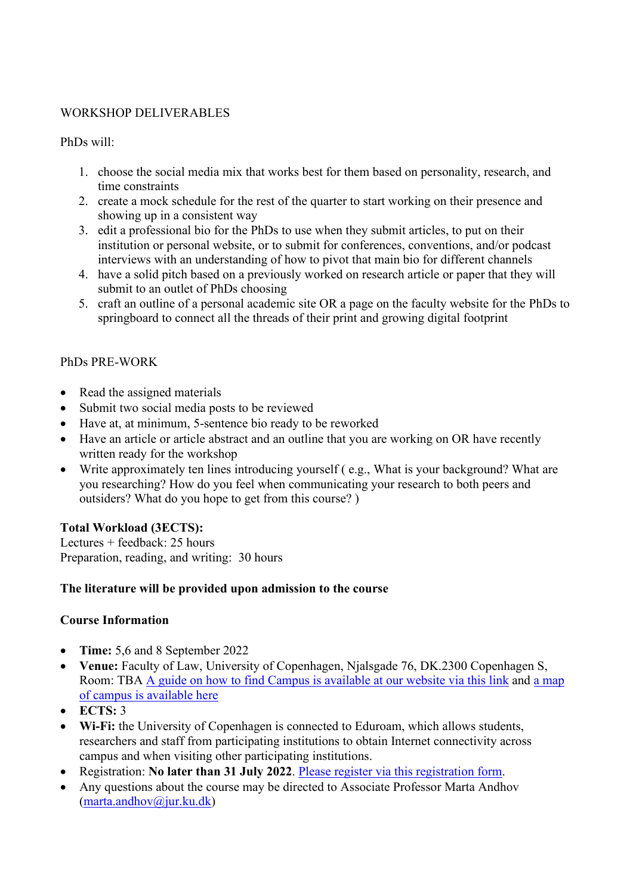#### WORKSHOP DELIVERABLES

PhDs will:

- 1. choose the social media mix that works best for them based on personality, research, and time constraints
- 2. create a mock schedule for the rest of the quarter to start working on their presence and showing up in a consistent way
- 3. edit a professional bio for the PhDs to use when they submit articles, to put on their institution or personal website, or to submit for conferences, conventions, and/or podcast interviews with an understanding of how to pivot that main bio for different channels
- 4. have a solid pitch based on a previously worked on research article or paper that they will submit to an outlet of PhDs choosing
- 5. craft an outline of a personal academic site OR a page on the faculty website for the PhDs to springboard to connect all the threads of their print and growing digital footprint

### PhDs PRE-WORK

- Read the assigned materials
- Submit two social media posts to be reviewed
- Have at, at minimum, 5-sentence bio ready to be reworked
- Have an article or article abstract and an outline that you are working on OR have recently written ready for the workshop
- Write approximately ten lines introducing yourself (e.g., What is your background? What are you researching? How do you feel when communicating your research to both peers and outsiders? What do you hope to get from this course? )

#### **Total Workload (3ECTS):**

Lectures + feedback: 25 hours Preparation, reading, and writing: 30 hours

#### **The literature will be provided upon admission to the course**

#### **Course Information**

- **Time:** 5,6 and 8 September 2022
- **Venue:** Faculty of Law, University of Copenhagen, Njalsgade 76, DK.2300 Copenhagen S, Room: TBA [A guide on how to find Campus is available at our website](https://jura.ku.dk/english/contact/howtofindus/) via this link and [a map](https://jura.ku.dk/Billeder/formidlingsservice/kort/A4_UCPH_LawFaculty_SouthCampusMap_UK.pdf)  [of campus is available here](https://jura.ku.dk/Billeder/formidlingsservice/kort/A4_UCPH_LawFaculty_SouthCampusMap_UK.pdf)
- **ECTS:** 3
- **Wi-Fi:** the University of Copenhagen is connected to Eduroam, which allows students, researchers and staff from participating institutions to obtain Internet connectivity across campus and when visiting other participating institutions.
- Registration: **No later than 31 July 2022**. [Please register via this registration form.](https://jura.ku.dk/phd/english/calender/2022/communication-and-dissemination-of-research/registration/)
- Any questions about the course may be directed to Associate Professor Marta Andhov [\(marta.andhov@jur.ku.dk\)](mailto:marta.andhov@jur.ku.dk)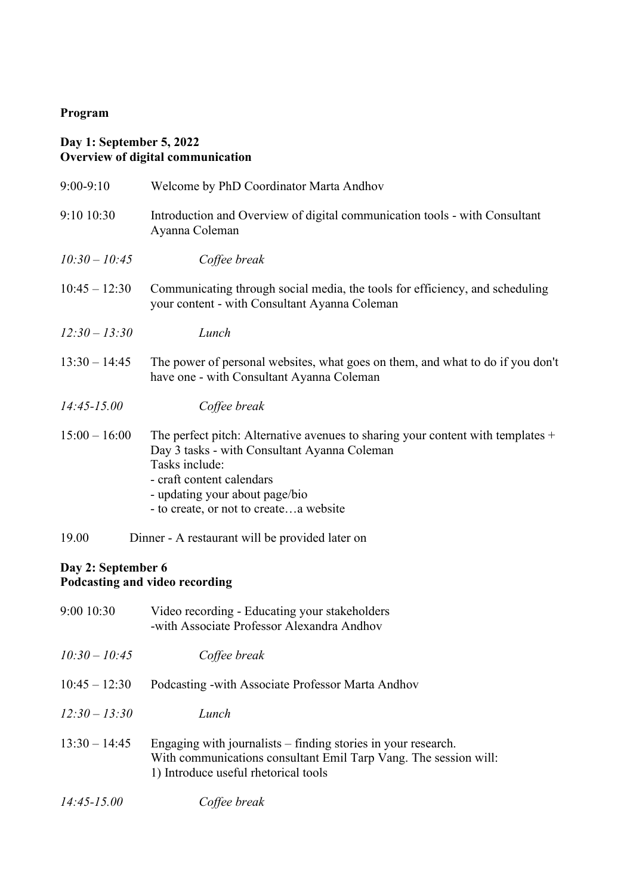# **Program**

## **Day 1: September 5, 2022 Overview of digital communication**

| $9:00-9:10$        | Welcome by PhD Coordinator Marta Andhov                                                                                                                                                                                                                      |
|--------------------|--------------------------------------------------------------------------------------------------------------------------------------------------------------------------------------------------------------------------------------------------------------|
| 9:10 10:30         | Introduction and Overview of digital communication tools - with Consultant<br>Ayanna Coleman                                                                                                                                                                 |
| $10:30 - 10:45$    | Coffee break                                                                                                                                                                                                                                                 |
| $10:45 - 12:30$    | Communicating through social media, the tools for efficiency, and scheduling<br>your content - with Consultant Ayanna Coleman                                                                                                                                |
| $12:30 - 13:30$    | Lunch                                                                                                                                                                                                                                                        |
| $13:30 - 14:45$    | The power of personal websites, what goes on them, and what to do if you don't<br>have one - with Consultant Ayanna Coleman                                                                                                                                  |
| $14:45 - 15.00$    | Coffee break                                                                                                                                                                                                                                                 |
| $15:00 - 16:00$    | The perfect pitch: Alternative avenues to sharing your content with templates $+$<br>Day 3 tasks - with Consultant Ayanna Coleman<br>Tasks include:<br>- craft content calendars<br>- updating your about page/bio<br>- to create, or not to createa website |
| 19.00              | Dinner - A restaurant will be provided later on                                                                                                                                                                                                              |
| Day 2: September 6 | Podcasting and video recording                                                                                                                                                                                                                               |
| 9:00 10:30         | Video recording - Educating your stakeholders<br>-with Associate Professor Alexandra Andhov                                                                                                                                                                  |
| $10:30 - 10:45$    | Coffee break                                                                                                                                                                                                                                                 |
| $10:45 - 12:30$    | Podcasting - with Associate Professor Marta Andhov                                                                                                                                                                                                           |
| $12:30 - 13:30$    | Lunch                                                                                                                                                                                                                                                        |
| $13:30 - 14:45$    | Engaging with journalists – finding stories in your research.<br>With communications consultant Emil Tarp Vang. The session will:<br>1) Introduce useful rhetorical tools                                                                                    |
| $14:45 - 15.00$    | Coffee break                                                                                                                                                                                                                                                 |